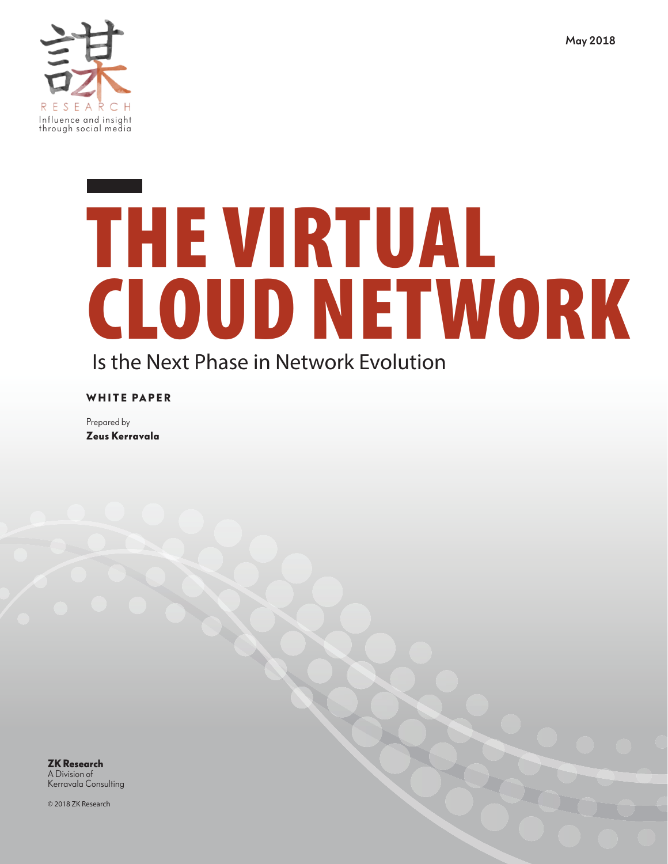

# Is the Next Phase in Network Evolution THE VIRTUAL CLOUD NETWORK

**WHITE PAPER** 

Prepared by **Zeus Kerravala**

**ZK Research** A Division of [Kerravala Consulting](http://zkresearch.com)

© 2018 ZK Research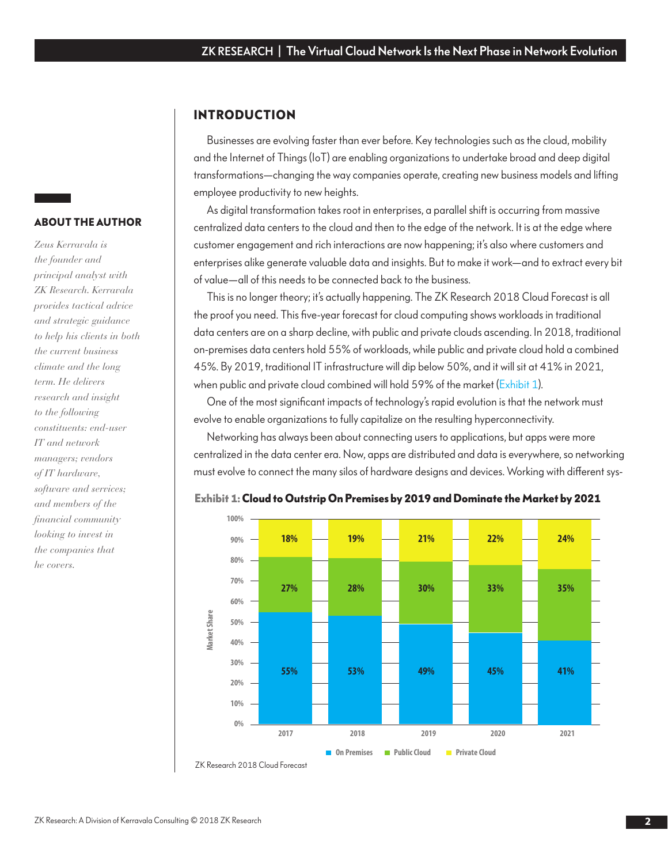#### **INTRODUCTION**

Businesses are evolving faster than ever before. Key technologies such as the cloud, mobility and the Internet of Things (IoT) are enabling organizations to undertake broad and deep digital transformations—changing the way companies operate, creating new business models and lifting employee productivity to new heights.

As digital transformation takes root in enterprises, a parallel shift is occurring from massive centralized data centers to the cloud and then to the edge of the network. It is at the edge where customer engagement and rich interactions are now happening; it's also where customers and enterprises alike generate valuable data and insights. But to make it work—and to extract every bit of value—all of this needs to be connected back to the business.

This is no longer theory; it's actually happening. The ZK Research 2018 Cloud Forecast is all the proof you need. This five-year forecast for cloud computing shows workloads in traditional data centers are on a sharp decline, with public and private clouds ascending. In 2018, traditional on-premises data centers hold 55% of workloads, while public and private cloud hold a combined 45%. By 2019, traditional IT infrastructure will dip below 50%, and it will sit at 41% in 2021, when public and private cloud combined will hold 59% of the market (Exhibit 1).

One of the most significant impacts of technology's rapid evolution is that the network must evolve to enable organizations to fully capitalize on the resulting hyperconnectivity.

Networking has always been about connecting users to applications, but apps were more centralized in the data center era. Now, apps are distributed and data is everywhere, so networking must evolve to connect the many silos of hardware designs and devices. Working with different sys-



**Exhibit 1: Cloud to Outstrip On Premises by 2019 and Dominate the Market by 2021**

### **ABOUT THE AUTHOR**

*Zeus Kerravala is the founder and principal analyst with ZK Research. Kerravala provides tactical advice and strategic guidance to help his clients in both the current business climate and the long term. He delivers research and insight to the following constituents: end-user IT and network managers; vendors of IT hardware, software and services; and members of the financial community looking to invest in the companies that he covers.*

ZK Research 2018 Cloud Forecast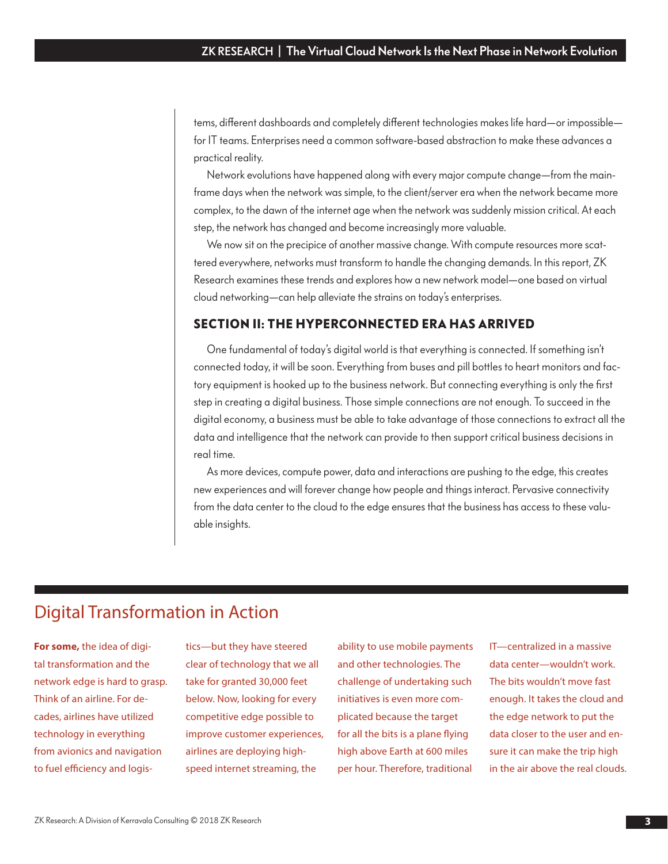tems, different dashboards and completely different technologies makes life hard—or impossible for IT teams. Enterprises need a common software-based abstraction to make these advances a practical reality.

Network evolutions have happened along with every major compute change—from the mainframe days when the network was simple, to the client/server era when the network became more complex, to the dawn of the internet age when the network was suddenly mission critical. At each step, the network has changed and become increasingly more valuable.

We now sit on the precipice of another massive change. With compute resources more scattered everywhere, networks must transform to handle the changing demands. In this report, ZK Research examines these trends and explores how a new network model—one based on virtual cloud networking—can help alleviate the strains on today's enterprises.

#### **SECTION II: THE HYPERCONNECTED ERA HAS ARRIVED**

One fundamental of today's digital world is that everything is connected. If something isn't connected today, it will be soon. Everything from buses and pill bottles to heart monitors and factory equipment is hooked up to the business network. But connecting everything is only the first step in creating a digital business. Those simple connections are not enough. To succeed in the digital economy, a business must be able to take advantage of those connections to extract all the data and intelligence that the network can provide to then support critical business decisions in real time.

As more devices, compute power, data and interactions are pushing to the edge, this creates new experiences and will forever change how people and things interact. Pervasive connectivity from the data center to the cloud to the edge ensures that the business has access to these valuable insights.

## Digital Transformation in Action

**For some,** the idea of digital transformation and the network edge is hard to grasp. Think of an airline. For decades, airlines have utilized technology in everything from avionics and navigation to fuel efficiency and logistics—but they have steered clear of technology that we all take for granted 30,000 feet below. Now, looking for every competitive edge possible to improve customer experiences, airlines are deploying highspeed internet streaming, the

ability to use mobile payments and other technologies. The challenge of undertaking such initiatives is even more complicated because the target for all the bits is a plane flying high above Earth at 600 miles per hour. Therefore, traditional

IT—centralized in a massive data center—wouldn't work. The bits wouldn't move fast enough. It takes the cloud and the edge network to put the data closer to the user and ensure it can make the trip high in the air above the real clouds.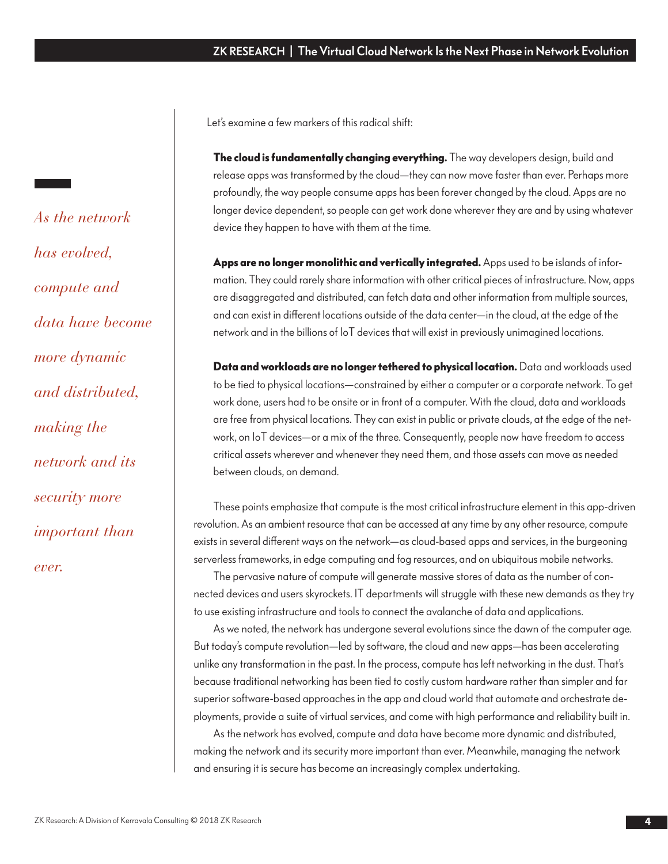Let's examine a few markers of this radical shift:

**The cloud is fundamentally changing everything.** The way developers design, build and release apps was transformed by the cloud—they can now move faster than ever. Perhaps more profoundly, the way people consume apps has been forever changed by the cloud. Apps are no longer device dependent, so people can get work done wherever they are and by using whatever device they happen to have with them at the time.

**Apps are no longer monolithic and vertically integrated.** Apps used to be islands of information. They could rarely share information with other critical pieces of infrastructure. Now, apps are disaggregated and distributed, can fetch data and other information from multiple sources, and can exist in different locations outside of the data center—in the cloud, at the edge of the network and in the billions of IoT devices that will exist in previously unimagined locations.

**Data and workloads are no longer tethered to physical location.** Data and workloads used to be tied to physical locations—constrained by either a computer or a corporate network. To get work done, users had to be onsite or in front of a computer. With the cloud, data and workloads are free from physical locations. They can exist in public or private clouds, at the edge of the network, on IoT devices—or a mix of the three. Consequently, people now have freedom to access critical assets wherever and whenever they need them, and those assets can move as needed between clouds, on demand. **4**ZK RESEARCH | The Virtual Cloud Network Is the Next Phase in Network Evolution<br>
of such that a steve mathematic of this radical shift.<br>
The doud is fundamentally changing overything. The way developed a single, hald and

These points emphasize that compute is the most critical infrastructure element in this app-driven revolution. As an ambient resource that can be accessed at any time by any other resource, compute exists in several different ways on the network—as cloud-based apps and services, in the burgeoning serverless frameworks, in edge computing and fog resources, and on ubiquitous mobile networks.

The pervasive nature of compute will generate massive stores of data as the number of connected devices and users skyrockets. IT departments will struggle with these new demands as they try to use existing infrastructure and tools to connect the avalanche of data and applications.

As we noted, the network has undergone several evolutions since the dawn of the computer age. But today's compute revolution—led by software, the cloud and new apps—has been accelerating unlike any transformation in the past. In the process, compute has left networking in the dust. That's because traditional networking has been tied to costly custom hardware rather than simpler and far superior software-based approaches in the app and cloud world that automate and orchestrate deployments, provide a suite of virtual services, and come with high performance and reliability built in.

As the network has evolved, compute and data have become more dynamic and distributed, making the network and its security more important than ever. Meanwhile, managing the network and ensuring it is secure has become an increasingly complex undertaking.

*As the network has evolved, compute and data have become more dynamic and distributed, making the network and its security more important than ever.*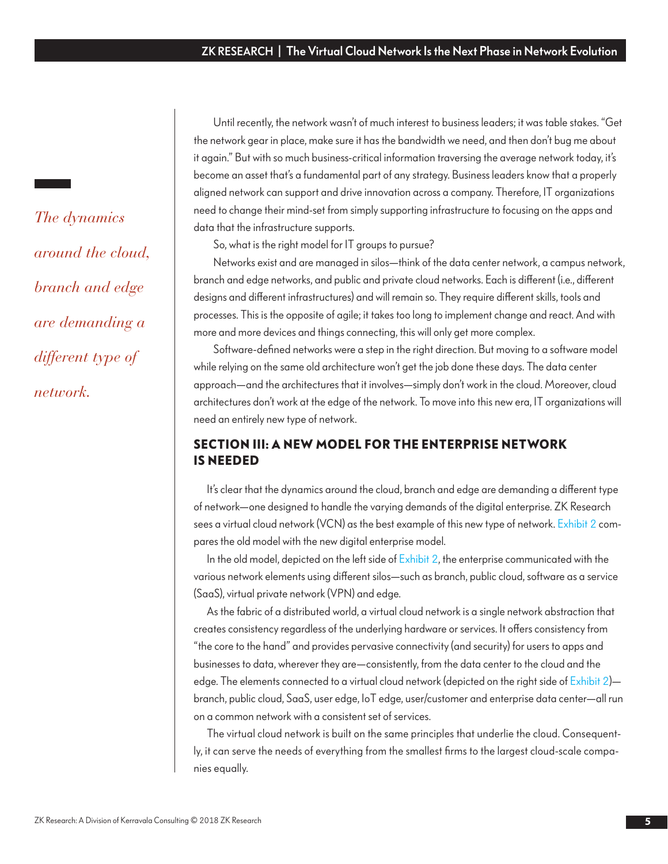Until recently, the network wasn't of much interest to business leaders; it was table stakes. "Get the network gear in place, make sure it has the bandwidth we need, and then don't bug me about it again." But with so much business-critical information traversing the average network today, it's become an asset that's a fundamental part of any strategy. Business leaders know that a properly aligned network can support and drive innovation across a company. Therefore, IT organizations need to change their mind-set from simply supporting infrastructure to focusing on the apps and data that the infrastructure supports.

So, what is the right model for IT groups to pursue?

Networks exist and are managed in silos—think of the data center network, a campus network, branch and edge networks, and public and private cloud networks. Each is different (i.e., different designs and different infrastructures) and will remain so. They require different skills, tools and processes. This is the opposite of agile; it takes too long to implement change and react. And with more and more devices and things connecting, this will only get more complex.

Software-defined networks were a step in the right direction. But moving to a software model while relying on the same old architecture won't get the job done these days. The data center approach—and the architectures that it involves—simply don't work in the cloud. Moreover, cloud architectures don't work at the edge of the network. To move into this new era, IT organizations will need an entirely new type of network.

### **SECTION III: A NEW MODEL FOR THE ENTERPRISE NETWORK IS NEEDED**

It's clear that the dynamics around the cloud, branch and edge are demanding a different type of network—one designed to handle the varying demands of the digital enterprise. ZK Research sees a virtual cloud network (VCN) as the best example of this new type of network[. Exhibit 2 c](#page-5-0)ompares the old model with the new digital enterprise model.

In the old model, depicted on the left side [of Exhibit 2, t](#page-5-0)he enterprise communicated with the various network elements using different silos—such as branch, public cloud, software as a service (SaaS), virtual private network (VPN) and edge.

As the fabric of a distributed world, a virtual cloud network is a single network abstraction that creates consistency regardless of the underlying hardware or services. It offers consistency from "the core to the hand" and provides pervasive connectivity (and security) for users to apps and businesses to data, wherever they are—consistently, from the data center to the cloud and the edge. The elements connected to a virtual cloud network (depicted on the right side of Exhibit 2)branch, public cloud, SaaS, user edge, IoT edge, user/customer and enterprise data center—all run on a common network with a consistent set of services.

The virtual cloud network is built on the same principles that underlie the cloud. Consequently, it can serve the needs of everything from the smallest firms to the largest cloud-scale companies equally.

*The dynamics around the cloud, branch and edge are demanding a different type of network.*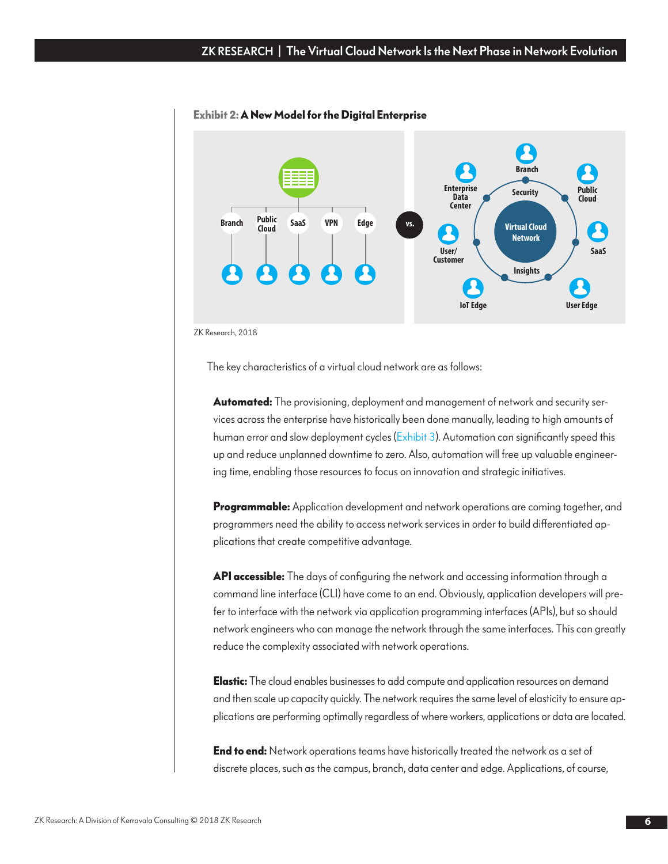

#### <span id="page-5-0"></span>**Exhibit 2: A New Model for the Digital Enterprise**

ZK Research, 2018

The key characteristics of a virtual cloud network are as follows:

**Automated:** The provisioning, deployment and management of network and security services across the enterprise have historically been done manually, leading to high amounts of human error and slow deployment cycles [\(Exhibit 3](#page-6-0)). Automation can significantly speed this up and reduce unplanned downtime to zero. Also, automation will free up valuable engineering time, enabling those resources to focus on innovation and strategic initiatives.

**Programmable:** Application development and network operations are coming together, and programmers need the ability to access network services in order to build differentiated applications that create competitive advantage.

**API accessible:** The days of configuring the network and accessing information through a command line interface (CLI) have come to an end. Obviously, application developers will prefer to interface with the network via application programming interfaces (APIs), but so should network engineers who can manage the network through the same interfaces. This can greatly reduce the complexity associated with network operations.

**Elastic:** The cloud enables businesses to add compute and application resources on demand and then scale up capacity quickly. The network requires the same level of elasticity to ensure applications are performing optimally regardless of where workers, applications or data are located.

**End to end:** Network operations teams have historically treated the network as a set of discrete places, such as the campus, branch, data center and edge. Applications, of course,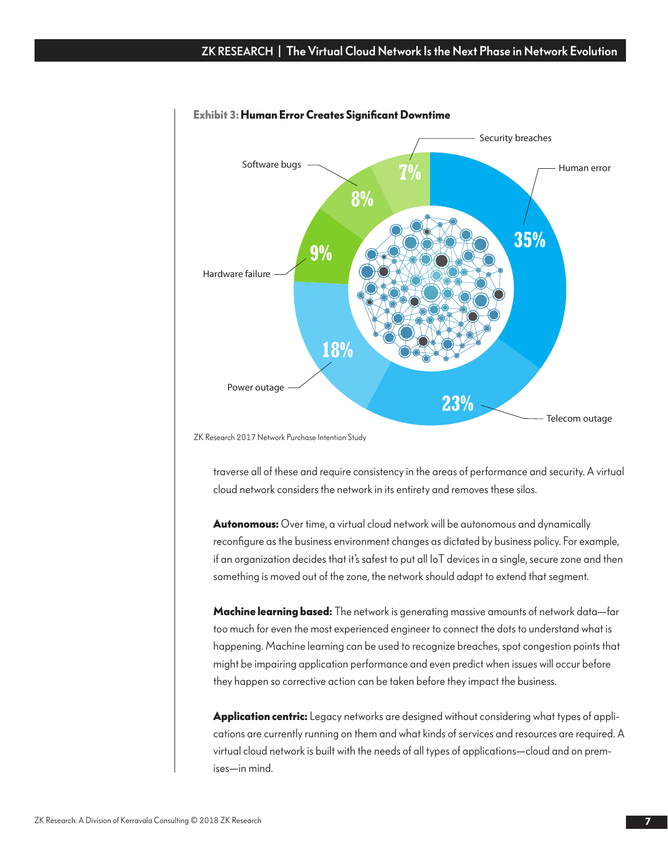#### <span id="page-6-0"></span>ZK RESEARCH | The Virtual Cloud Network Is the Next Phase in Network Evolution



#### **Exhibit 3: Human Error Creates Significant Downtime**

ZK Research 2017 Network Purchase Intention Study

traverse all of these and require consistency in the areas of performance and security. A virtual cloud network considers the network in its entirety and removes these silos.

**Autonomous:** Over time, a virtual cloud network will be autonomous and dynamically reconfigure as the business environment changes as dictated by business policy. For example, if an organization decides that it's safest to put all IoT devices in a single, secure zone and then something is moved out of the zone, the network should adapt to extend that segment.

**Machine learning based:** The network is generating massive amounts of network data—far too much for even the most experienced engineer to connect the dots to understand what is happening. Machine learning can be used to recognize breaches, spot congestion points that might be impairing application performance and even predict when issues will occur before they happen so corrective action can be taken before they impact the business.

**Application centric:** Legacy networks are designed without considering what types of applications are currently running on them and what kinds of services and resources are required. A virtual cloud network is built with the needs of all types of applications—cloud and on premises—in mind.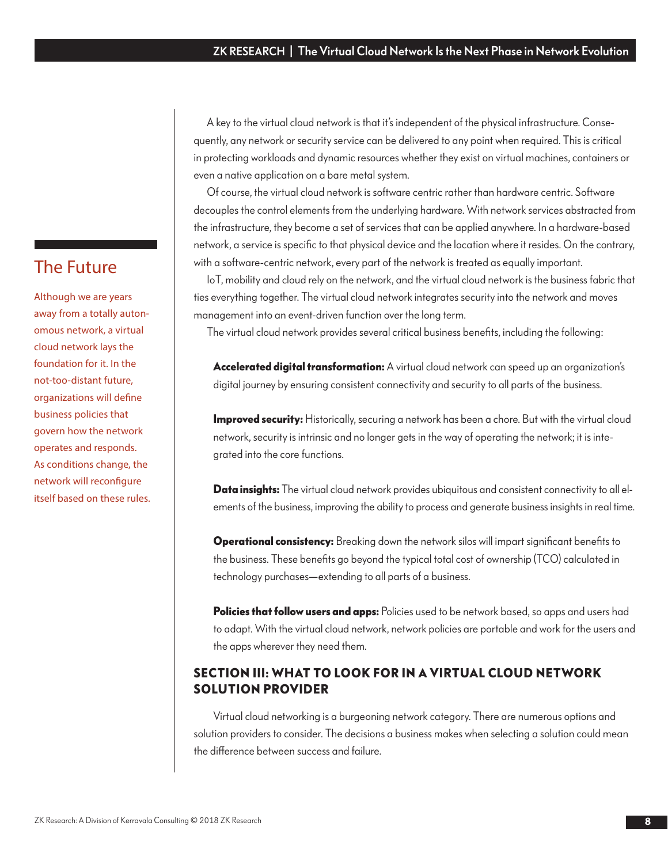A key to the virtual cloud network is that it's independent of the physical infrastructure. Consequently, any network or security service can be delivered to any point when required. This is critical in protecting workloads and dynamic resources whether they exist on virtual machines, containers or even a native application on a bare metal system.

Of course, the virtual cloud network is software centric rather than hardware centric. Software decouples the control elements from the underlying hardware. With network services abstracted from the infrastructure, they become a set of services that can be applied anywhere. In a hardware-based network, a service is specific to that physical device and the location where it resides. On the contrary, with a software-centric network, every part of the network is treated as equally important.

IoT, mobility and cloud rely on the network, and the virtual cloud network is the business fabric that ties everything together. The virtual cloud network integrates security into the network and moves management into an event-driven function over the long term.

The virtual cloud network provides several critical business benefits, including the following:

**Accelerated digital transformation:** A virtual cloud network can speed up an organization's digital journey by ensuring consistent connectivity and security to all parts of the business.

**Improved security:** Historically, securing a network has been a chore. But with the virtual cloud network, security is intrinsic and no longer gets in the way of operating the network; it is integrated into the core functions.

**Data insights:** The virtual cloud network provides ubiquitous and consistent connectivity to all elements of the business, improving the ability to process and generate business insights in real time.

**Operational consistency:** Breaking down the network silos will impart significant benefits to the business. These benefits go beyond the typical total cost of ownership (TCO) calculated in technology purchases—extending to all parts of a business.

**Policies that follow users and apps:** Policies used to be network based, so apps and users had to adapt. With the virtual cloud network, network policies are portable and work for the users and the apps wherever they need them.

## **SECTION III: WHAT TO LOOK FOR IN A VIRTUAL CLOUD NETWORK SOLUTION PROVIDER**

Virtual cloud networking is a burgeoning network category. There are numerous options and solution providers to consider. The decisions a business makes when selecting a solution could mean the difference between success and failure.

## The Future

Although we are years away from a totally autonomous network, a virtual cloud network lays the foundation for it. In the not-too-distant future, organizations will define business policies that govern how the network operates and responds. As conditions change, the network will reconfigure itself based on these rules.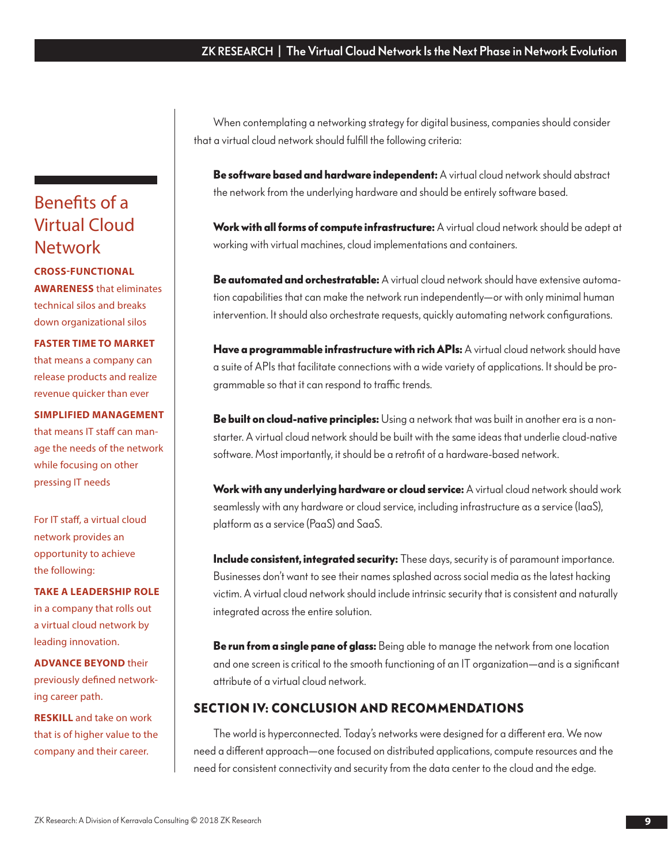When contemplating a networking strategy for digital business, companies should consider that a virtual cloud network should fulfill the following criteria:

**Be software based and hardware independent:** A virtual cloud network should abstract the network from the underlying hardware and should be entirely software based.

**Work with all forms of compute infrastructure:** A virtual cloud network should be adept at working with virtual machines, cloud implementations and containers.

**Be automated and orchestratable:** A virtual cloud network should have extensive automation capabilities that can make the network run independently—or with only minimal human intervention. It should also orchestrate requests, quickly automating network configurations.

**Have a programmable infrastructure with rich APIs:** A virtual cloud network should have a suite of APIs that facilitate connections with a wide variety of applications. It should be programmable so that it can respond to traffic trends.

**Be built on cloud-native principles:** Using a network that was built in another era is a nonstarter. A virtual cloud network should be built with the same ideas that underlie cloud-native software. Most importantly, it should be a retrofit of a hardware-based network.

**Work with any underlying hardware or cloud service:** A virtual cloud network should work seamlessly with any hardware or cloud service, including infrastructure as a service (IaaS), platform as a service (PaaS) and SaaS.

**Include consistent, integrated security:** These days, security is of paramount importance. Businesses don't want to see their names splashed across social media as the latest hacking victim. A virtual cloud network should include intrinsic security that is consistent and naturally integrated across the entire solution.

**Be run from a single pane of glass:** Being able to manage the network from one location and one screen is critical to the smooth functioning of an IT organization—and is a significant attribute of a virtual cloud network.

### **SECTION IV: CONCLUSION AND RECOMMENDATIONS**

The world is hyperconnected. Today's networks were designed for a different era. We now need a different approach—one focused on distributed applications, compute resources and the need for consistent connectivity and security from the data center to the cloud and the edge.

# Benefits of a Virtual Cloud Network

**CROSS-FUNCTIONAL AWARENESS** that eliminates technical silos and breaks down organizational silos

**FASTER TIME TO MARKET** that means a company can release products and realize revenue quicker than ever

**SIMPLIFIED MANAGEMENT**  that means IT staff can manage the needs of the network while focusing on other pressing IT needs

For IT staff, a virtual cloud network provides an opportunity to achieve the following:

**TAKE A LEADERSHIP ROLE** in a company that rolls out a virtual cloud network by leading innovation.

**ADVANCE BEYOND** their previously defined networking career path.

**RESKILL** and take on work that is of higher value to the company and their career.